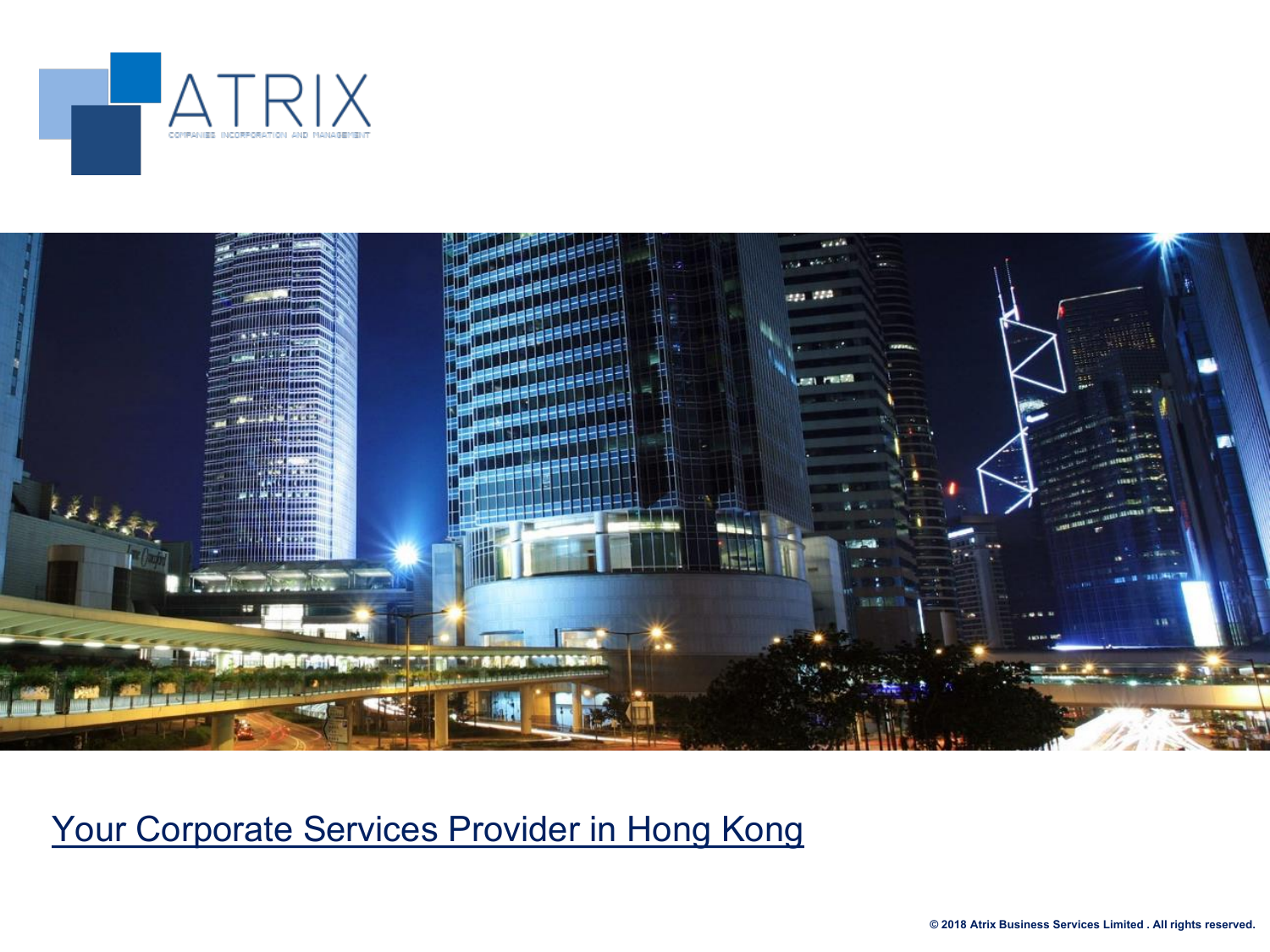



## Your Corporate Services Provider in Hong Kong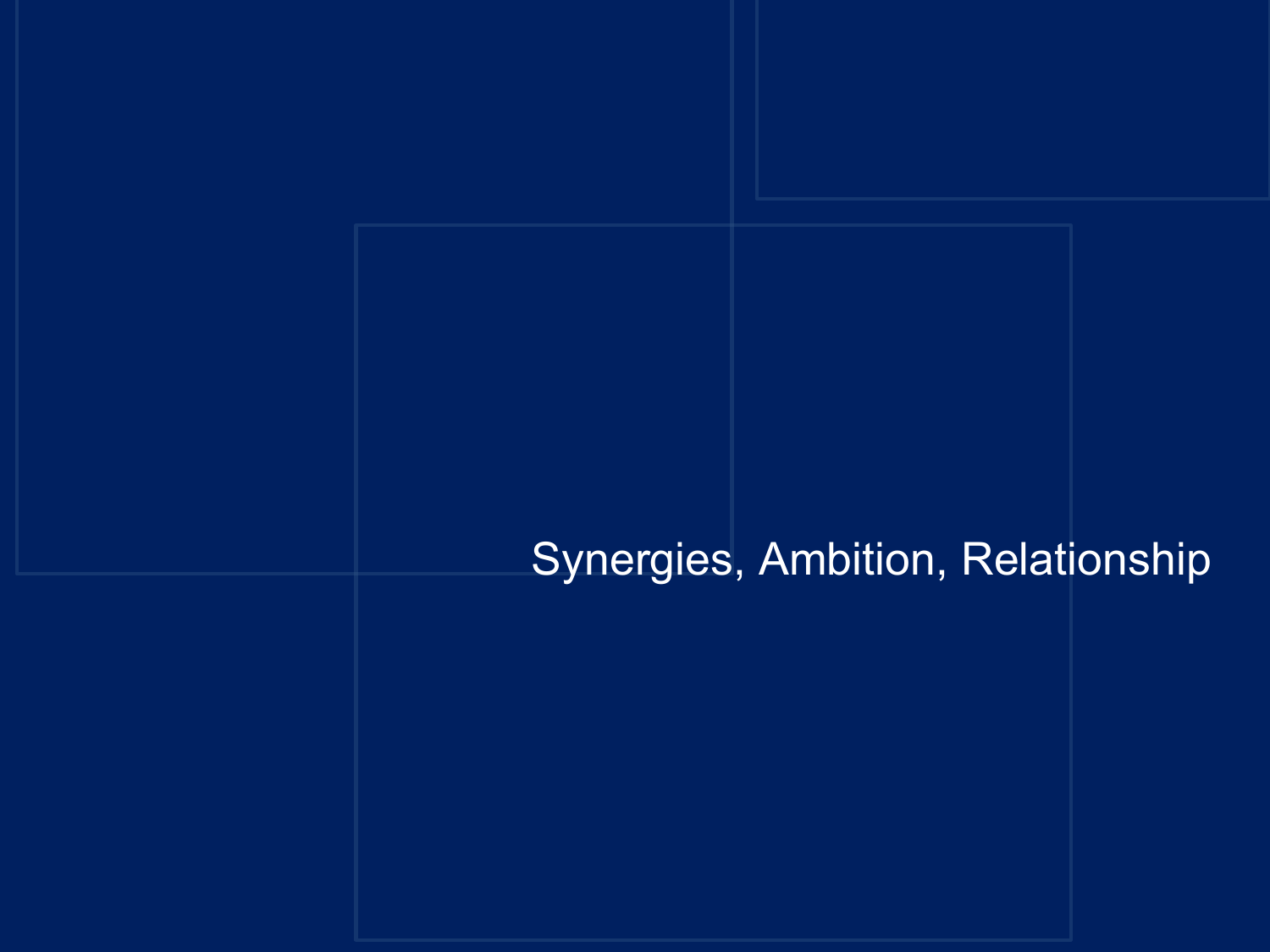## Synergies, Ambition, Relationship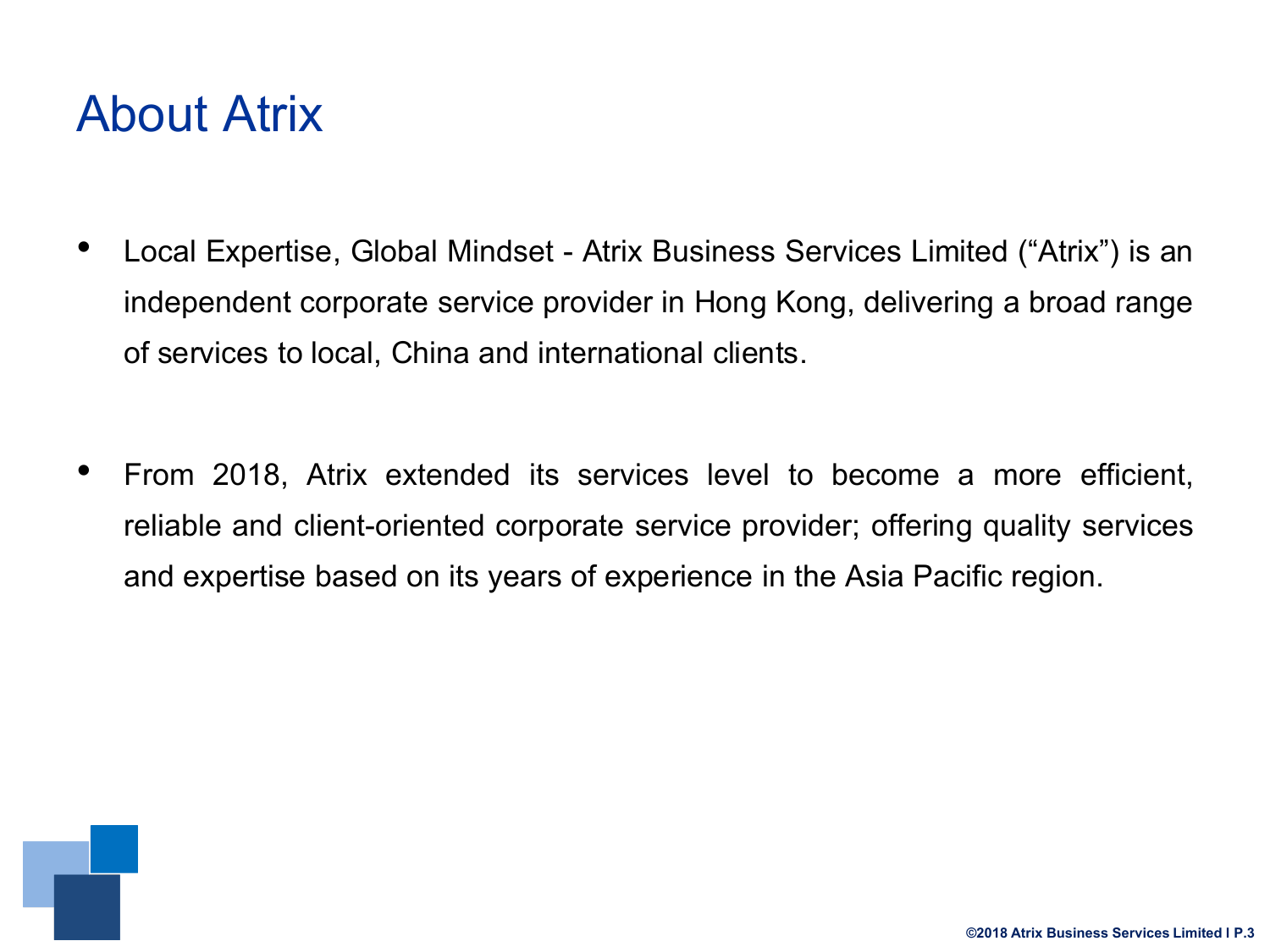## About Atrix

- Local Expertise, Global Mindset Atrix Business Services Limited ("Atrix") is an independent corporate service provider in Hong Kong, delivering a broad range of services tolocal, China and international clients.
- From 2018, Atrix extended its services level to become a more efficient, reliable and client-oriented corporate service provider; offering quality services and expertise based on its years of experience in the Asia Pacific region.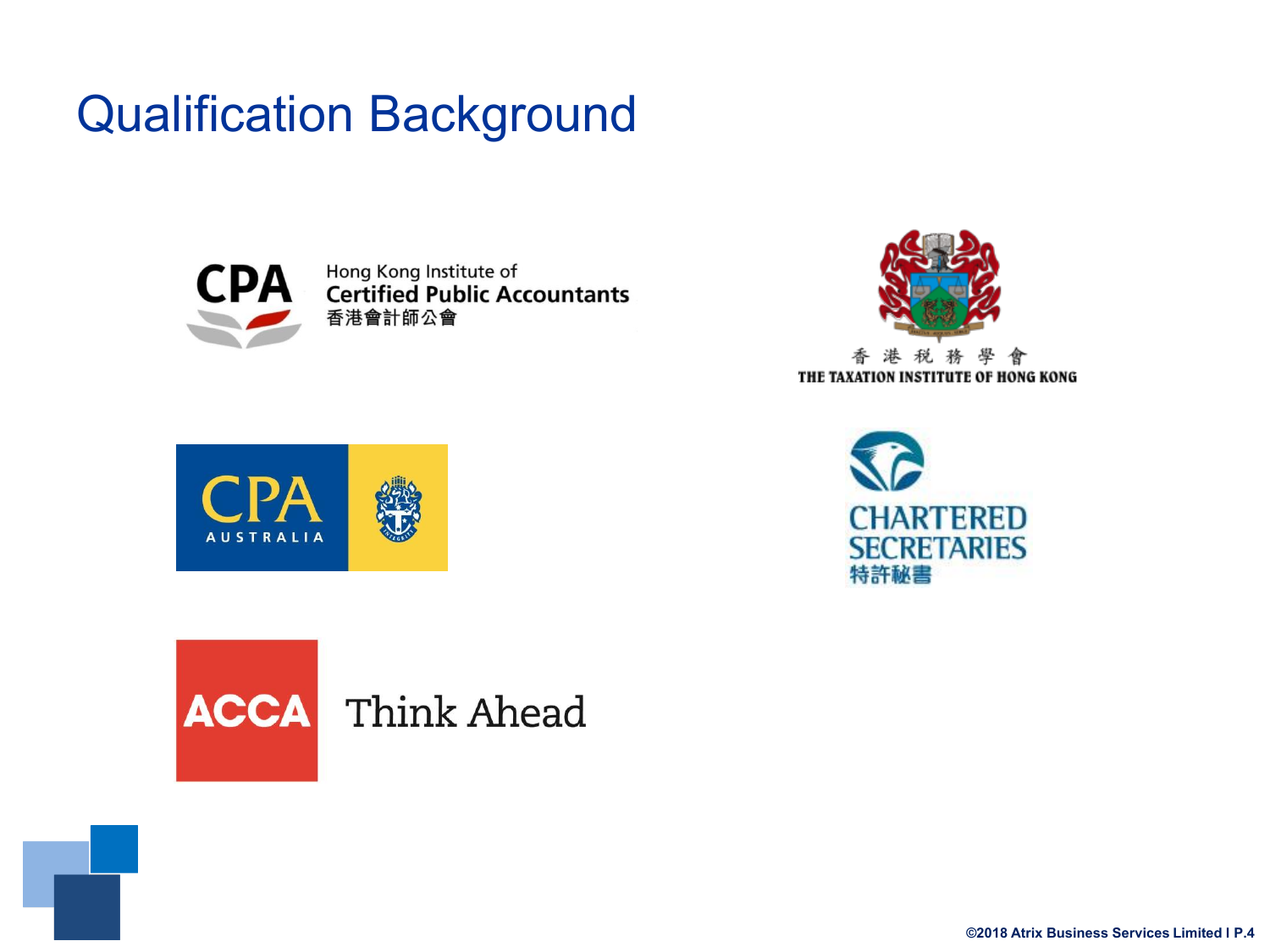# Qualification Background



Hong Kong Institute of **CPA** Form Kong Institute of 香港會計師公會







**ACCA** Think Ahead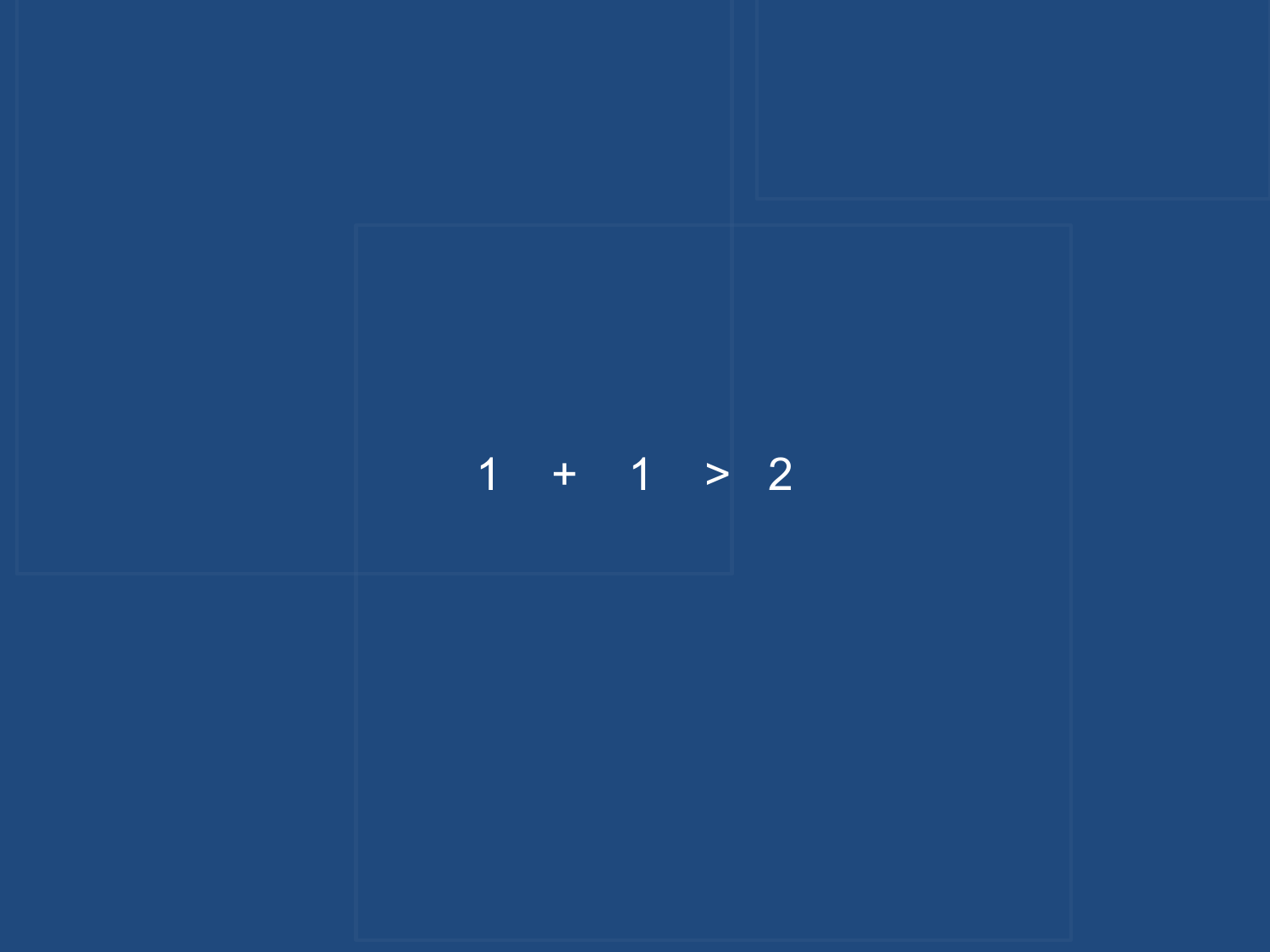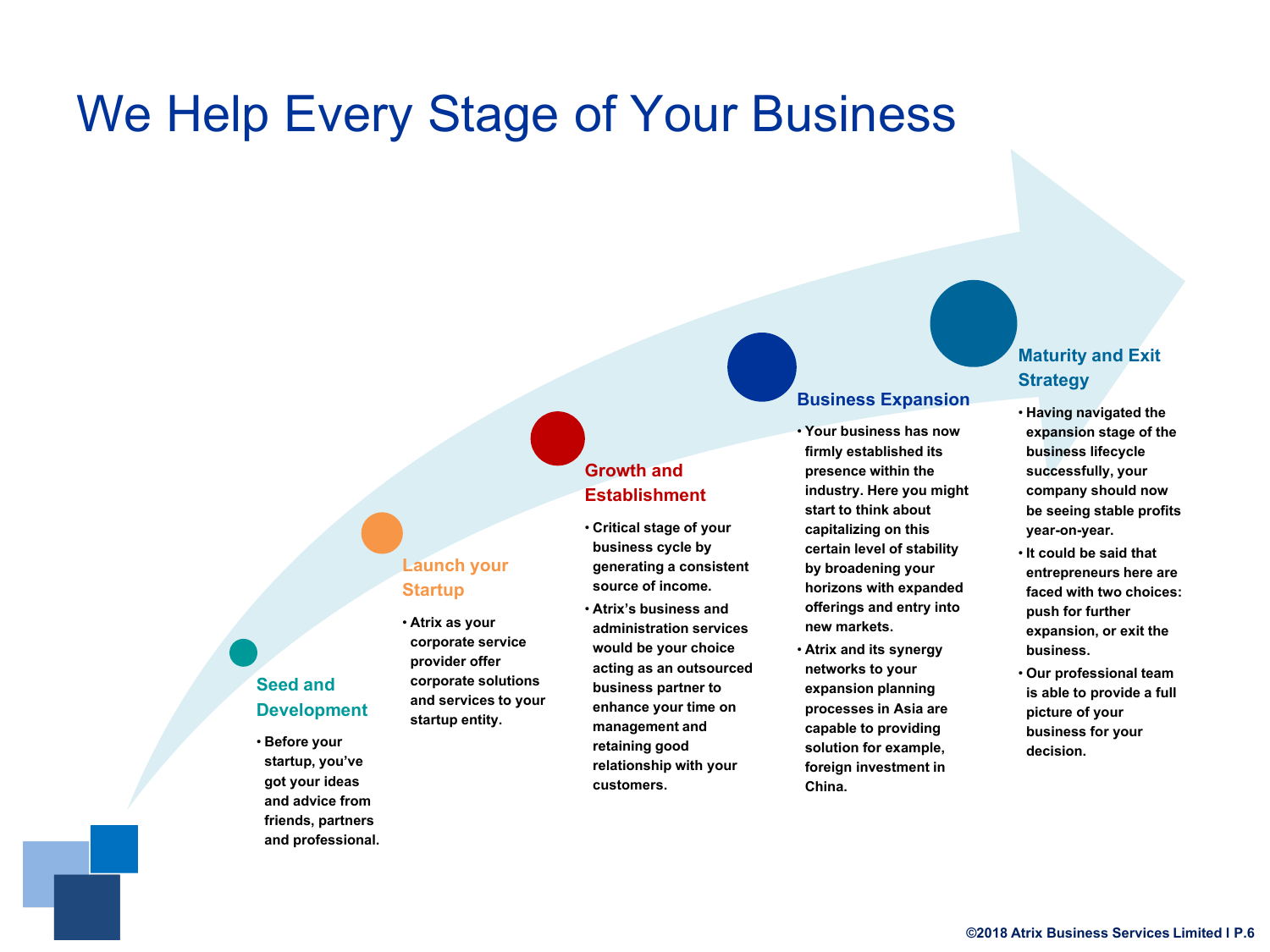## We Help Every Stage of Your Business

### **Launch your Startup**

- **Atrixas your corporate service provider offer corporate solutions and services to your startup entity.**
- 

#### • **Critical stage of your business cycle by generating a consistent**

**Growth and Establishment**

**source of income.**

• **Atrix's business and administration services would be your choice acting as an outsourced business partner to enhance your time on management and retaining good relationship with your** 

**customers.**

#### **Business Expansion**

• **Your business has now firmly established its presence within the industry. Here you might start to think about capitalizing on this certain level of stability by broadening your horizons with expanded offerings and entry into new markets.**

• **Atrixand its synergy networks to your expansion planning processes in Asia are capable to providing solution for example, foreign investment in China.**

#### **Maturity and Exit Strategy**

- **Having navigated the expansion stage of the business lifecycle successfully, your company should now be seeing stable profits year-on-year.**
- **It could be said that entrepreneurs here are faced with two choices: push for further expansion, or exit the business.**
- **Our professional team is able to provide a full picture of your business for your decision.**

#### **Seed and Development**

• **Before your startup, you've got your ideas and advice from friends, partners and professional.**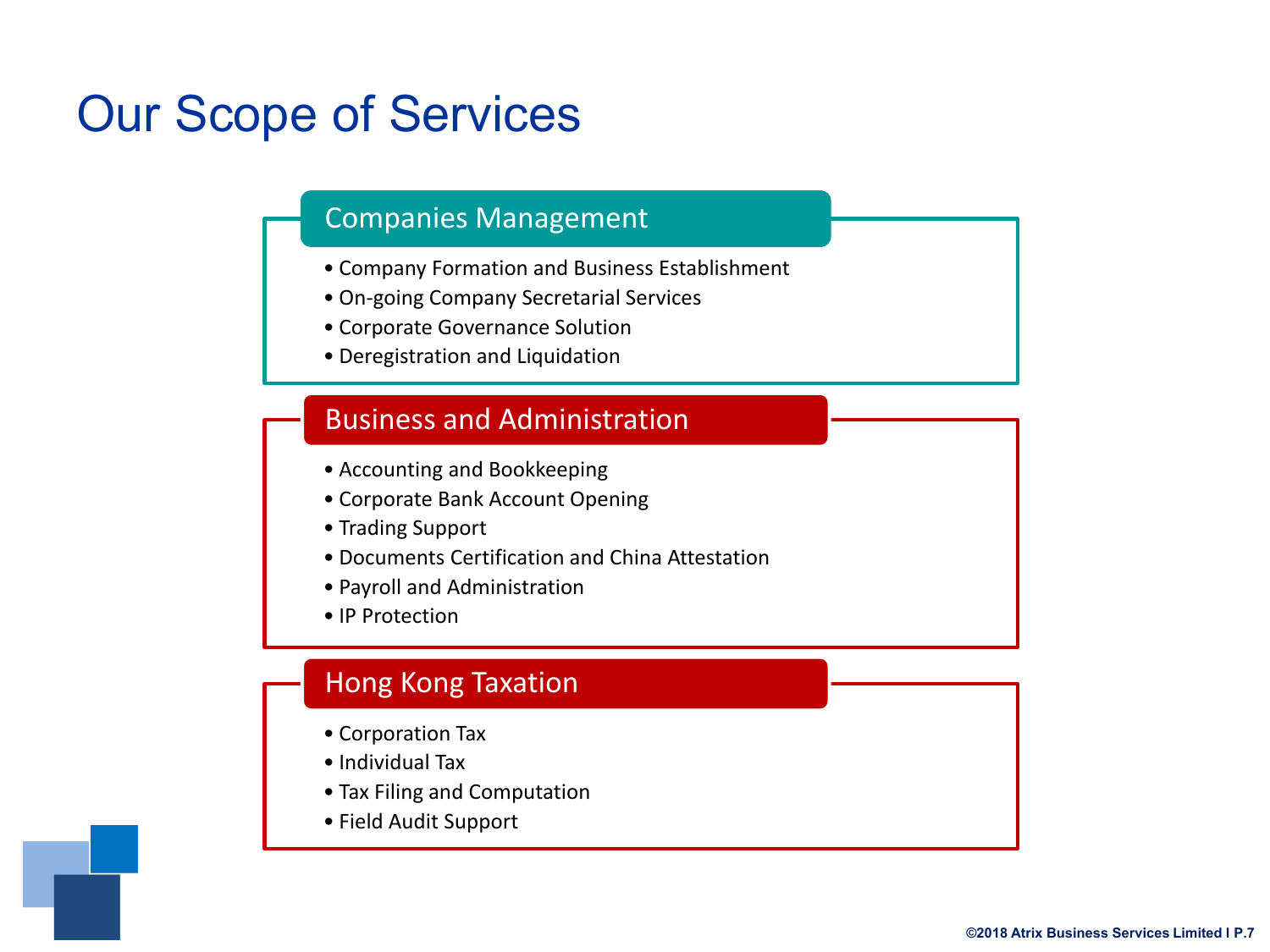## Our Scope of Services

### Companies Management

- Company Formation and Business Establishment
- On-going Company Secretarial Services
- Corporate Governance Solution
- Deregistration and Liquidation

### Business and Administration

- Accounting and Bookkeeping
- Corporate Bank Account Opening
- Trading Support
- Documents Certification and China Attestation
- Payroll and Administration
- IP Protection

## Hong Kong Taxation

- Corporation Tax
- Individual Tax
- Tax Filing and Computation
- Field Audit Support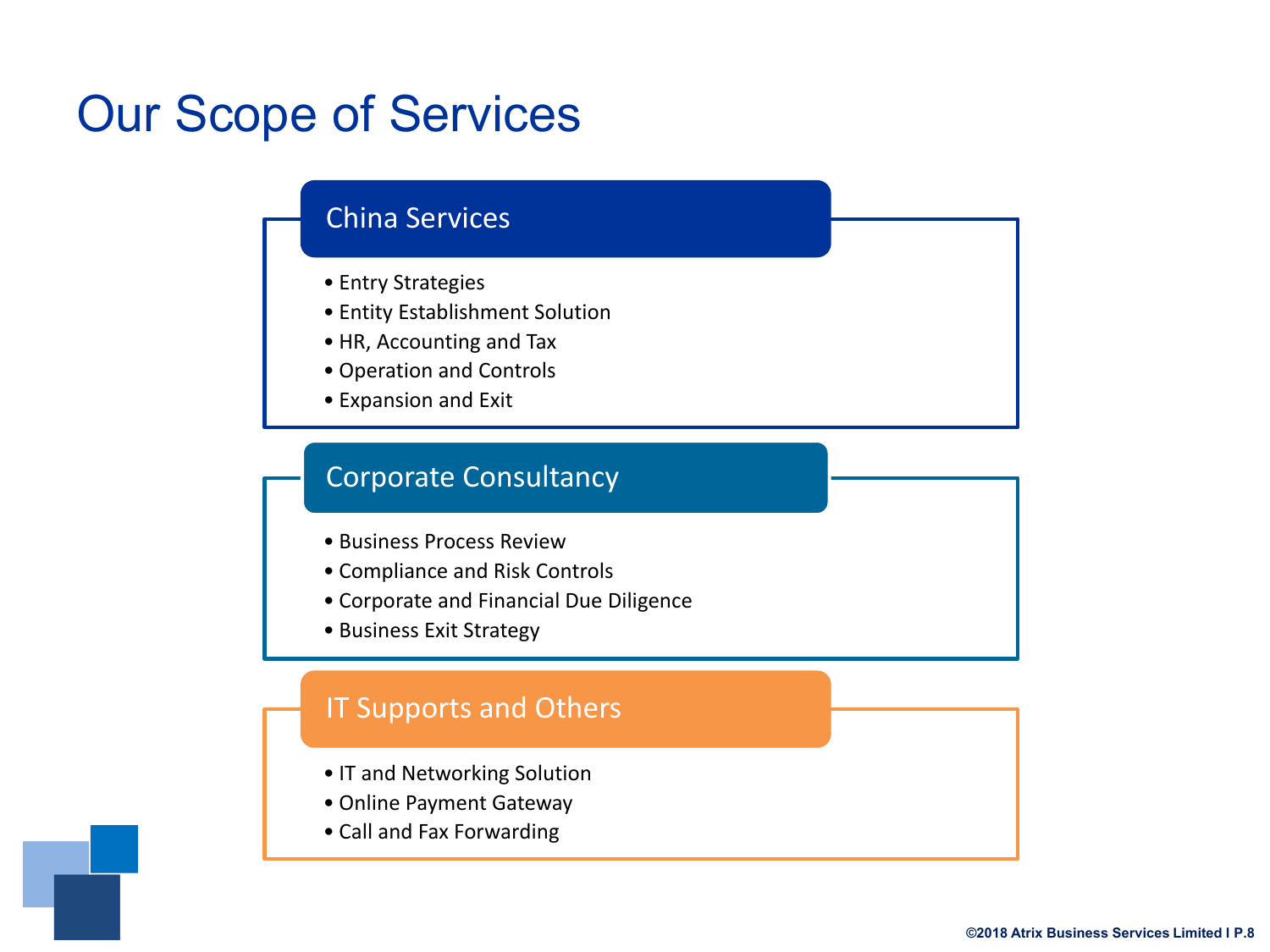## Our Scope of Services

### China Services

- Entry Strategies
- Entity Establishment Solution
- HR, Accounting and Tax
- Operation and Controls
- Expansion and Exit

### Corporate Consultancy

- Business Process Review
- Compliance and Risk Controls
- Corporate and Financial Due Diligence
- Business Exit Strategy

### IT Supports and Others

- IT and Networking Solution
- Online Payment Gateway
- Call and Fax Forwarding